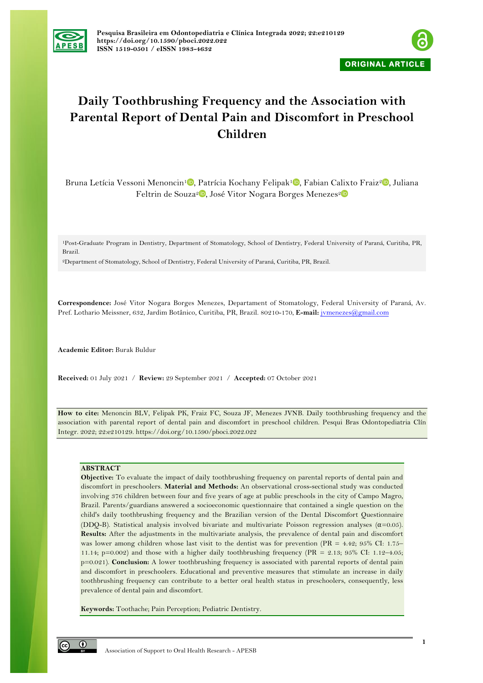



# **Daily Toothbrushing Frequency and the Association with Parental Report of Dental Pain and Discomfort in Preschool Children**

Bruna Letícia Vessoni Menoncin<sup>1</sup><sup>®</sup>[,](https://orcid.org/0000-0002-3284-4385) Patrícia Kochany Felipak<sup>1</sup><sup>®</sup>, Fabian Calixto Fraiz<sup>2</sup><sup>®</sup>, Juliana Feltrin de Souza<sup>[2](https://orcid.org/0000-0001-9969-3721)</sup> , José Vitor Nogara Borges Menezes<sup>2</sup>

1Post-Graduate Program in Dentistry, Department of Stomatology, School of Dentistry, Federal University of Paraná, Curitiba, PR, Brazil.

2Department of Stomatology, School of Dentistry, Federal University of Paraná, Curitiba, PR, Brazil.

**Correspondence:** José Vitor Nogara Borges Menezes, Departament of Stomatology, Federal University of Paraná, Av. Pref. Lothario Meissner, 632, Jardim Botânico, Curitiba, PR, Brazil. 80210-170, **E-mail:** jvmenezes@gmail.com

**Academic Editor:** Burak Buldur

**Received:** 01 July 2021 / **Review:** 29 September 2021 / **Accepted:** 07 October 2021

**How to cite:** Menoncin BLV, Felipak PK, Fraiz FC, Souza JF, Menezes JVNB. Daily toothbrushing frequency and the association with parental report of dental pain and discomfort in preschool children. Pesqui Bras Odontopediatria Clín Integr. 2022; 22:e210129. https://doi.org/10.1590/pboci.2022.022

# **ABSTRACT**

**Objective:** To evaluate the impact of daily toothbrushing frequency on parental reports of dental pain and discomfort in preschoolers. **Material and Methods:** An observational cross-sectional study was conducted involving 376 children between four and five years of age at public preschools in the city of Campo Magro, Brazil. Parents/guardians answered a socioeconomic questionnaire that contained a single question on the child's daily toothbrushing frequency and the Brazilian version of the Dental Discomfort Questionnaire (DDQ-B). Statistical analysis involved bivariate and multivariate Poisson regression analyses  $(\alpha=0.05)$ . **Results:** After the adjustments in the multivariate analysis, the prevalence of dental pain and discomfort was lower among children whose last visit to the dentist was for prevention (PR = 4.42; 95% CI: 1.75– 11.14; p=0.002) and those with a higher daily toothbrushing frequency (PR = 2.13; 95% CI: 1.12–4.05; p=0.021). **Conclusion:** A lower toothbrushing frequency is associated with parental reports of dental pain and discomfort in preschoolers. Educational and preventive measures that stimulate an increase in daily toothbrushing frequency can contribute to a better oral health status in preschoolers, consequently, less prevalence of dental pain and discomfort.

**Keywords:** Toothache; Pain Perception; Pediatric Dentistry.

 $\odot$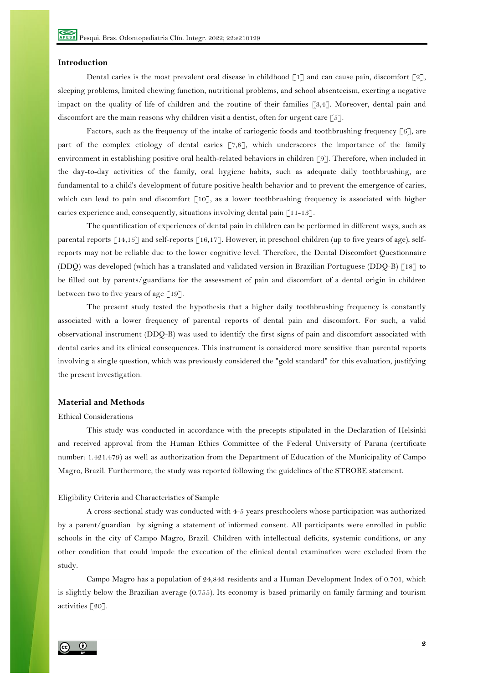## **Introduction**

Dental caries is the most prevalent oral disease in childhood  $\lceil 1 \rceil$  and can cause pain, discomfort  $\lceil 2 \rceil$ , sleeping problems, limited chewing function, nutritional problems, and school absenteeism, exerting a negative impact on the quality of life of children and the routine of their families [3,4]. Moreover, dental pain and discomfort are the main reasons why children visit a dentist, often for urgent care  $\lceil 5 \rceil$ .

Factors, such as the frequency of the intake of cariogenic foods and toothbrushing frequency  $\lceil 6 \rceil$ , are part of the complex etiology of dental caries [7,8], which underscores the importance of the family environment in establishing positive oral health-related behaviors in children [9]. Therefore, when included in the day-to-day activities of the family, oral hygiene habits, such as adequate daily toothbrushing, are fundamental to a child's development of future positive health behavior and to prevent the emergence of caries, which can lead to pain and discomfort [10], as a lower toothbrushing frequency is associated with higher caries experience and, consequently, situations involving dental pain [11-13].

The quantification of experiences of dental pain in children can be performed in different ways, such as parental reports  $\lceil 14,15 \rceil$  and self-reports  $\lceil 16,17 \rceil$ . However, in preschool children (up to five years of age), selfreports may not be reliable due to the lower cognitive level. Therefore, the Dental Discomfort Questionnaire (DDQ) was developed (which has a translated and validated version in Brazilian Portuguese (DDQ-B) [18] to be filled out by parents/guardians for the assessment of pain and discomfort of a dental origin in children between two to five years of age  $\lceil 19 \rceil$ .

The present study tested the hypothesis that a higher daily toothbrushing frequency is constantly associated with a lower frequency of parental reports of dental pain and discomfort. For such, a valid observational instrument (DDQ-B) was used to identify the first signs of pain and discomfort associated with dental caries and its clinical consequences. This instrument is considered more sensitive than parental reports involving a single question, which was previously considered the "gold standard" for this evaluation, justifying the present investigation.

## **Material and Methods**

## Ethical Considerations

This study was conducted in accordance with the precepts stipulated in the Declaration of Helsinki and received approval from the Human Ethics Committee of the Federal University of Parana (certificate number: 1.421.479) as well as authorization from the Department of Education of the Municipality of Campo Magro, Brazil. Furthermore, the study was reported following the guidelines of the STROBE statement.

## Eligibility Criteria and Characteristics of Sample

A cross-sectional study was conducted with 4-5 years preschoolers whose participation was authorized by a parent/guardian by signing a statement of informed consent. All participants were enrolled in public schools in the city of Campo Magro, Brazil. Children with intellectual deficits, systemic conditions, or any other condition that could impede the execution of the clinical dental examination were excluded from the study.

Campo Magro has a population of 24,843 residents and a Human Development Index of 0.701, which is slightly below the Brazilian average (0.755). Its economy is based primarily on family farming and tourism activities [20].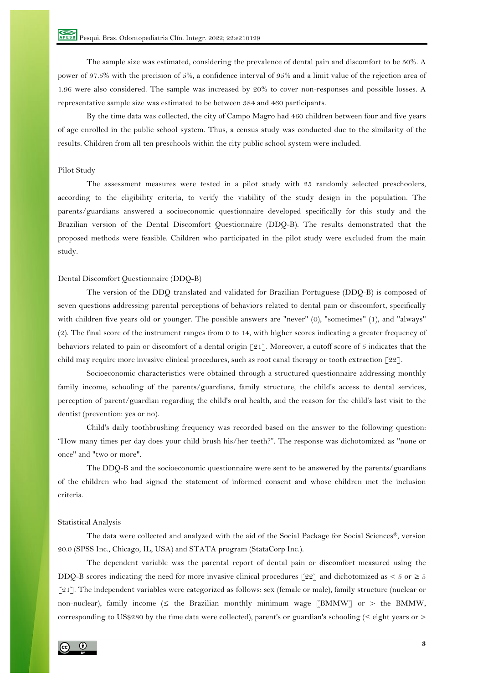The sample size was estimated, considering the prevalence of dental pain and discomfort to be 50%. A power of 97.5% with the precision of 5%, a confidence interval of 95% and a limit value of the rejection area of 1.96 were also considered. The sample was increased by 20% to cover non-responses and possible losses. A representative sample size was estimated to be between 384 and 460 participants.

By the time data was collected, the city of Campo Magro had 460 children between four and five years of age enrolled in the public school system. Thus, a census study was conducted due to the similarity of the results. Children from all ten preschools within the city public school system were included.

## Pilot Study

The assessment measures were tested in a pilot study with 25 randomly selected preschoolers, according to the eligibility criteria, to verify the viability of the study design in the population. The parents/guardians answered a socioeconomic questionnaire developed specifically for this study and the Brazilian version of the Dental Discomfort Questionnaire (DDQ-B). The results demonstrated that the proposed methods were feasible. Children who participated in the pilot study were excluded from the main study.

## Dental Discomfort Questionnaire (DDQ-B)

The version of the DDQ translated and validated for Brazilian Portuguese (DDQ-B) is composed of seven questions addressing parental perceptions of behaviors related to dental pain or discomfort, specifically with children five years old or younger. The possible answers are "never" (0), "sometimes" (1), and "always" (2). The final score of the instrument ranges from 0 to 14, with higher scores indicating a greater frequency of behaviors related to pain or discomfort of a dental origin [21]. Moreover, a cutoff score of 5 indicates that the child may require more invasive clinical procedures, such as root canal therapy or tooth extraction [22].

Socioeconomic characteristics were obtained through a structured questionnaire addressing monthly family income, schooling of the parents/guardians, family structure, the child's access to dental services, perception of parent/guardian regarding the child's oral health, and the reason for the child's last visit to the dentist (prevention: yes or no).

Child's daily toothbrushing frequency was recorded based on the answer to the following question: "How many times per day does your child brush his/her teeth?". The response was dichotomized as "none or once" and "two or more".

The DDQ-B and the socioeconomic questionnaire were sent to be answered by the parents/guardians of the children who had signed the statement of informed consent and whose children met the inclusion criteria.

## Statistical Analysis

The data were collected and analyzed with the aid of the Social Package for Social Sciences®, version 20.0 (SPSS Inc., Chicago, IL, USA) and STATA program (StataCorp Inc.).

The dependent variable was the parental report of dental pain or discomfort measured using the DDQ-B scores indicating the need for more invasive clinical procedures [22] and dichotomized as  $\lt 5$  or  $\geq 5$ [21]. The independent variables were categorized as follows: sex (female or male), family structure (nuclear or non-nuclear), family income ( $\leq$  the Brazilian monthly minimum wage [BMMW] or  $>$  the BMMW, corresponding to US\$280 by the time data were collected), parent's or guardian's schooling ( $\leq$  eight years or  $>$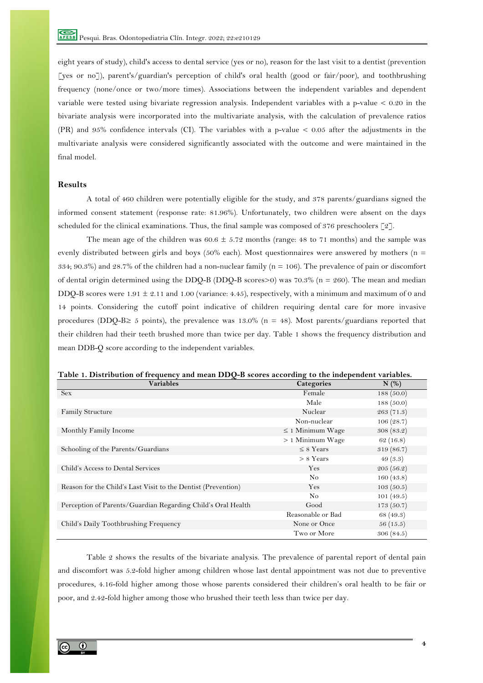eight years of study), child's access to dental service (yes or no), reason for the last visit to a dentist (prevention [yes or no]), parent's/guardian's perception of child's oral health (good or fair/poor), and toothbrushing frequency (none/once or two/more times). Associations between the independent variables and dependent variable were tested using bivariate regression analysis. Independent variables with a p-value < 0.20 in the bivariate analysis were incorporated into the multivariate analysis, with the calculation of prevalence ratios (PR) and 95% confidence intervals (CI). The variables with a p-value < 0.05 after the adjustments in the multivariate analysis were considered significantly associated with the outcome and were maintained in the final model.

# **Results**

A total of 460 children were potentially eligible for the study, and 378 parents/guardians signed the informed consent statement (response rate: 81.96%). Unfortunately, two children were absent on the days scheduled for the clinical examinations. Thus, the final sample was composed of 376 preschoolers  $[2]$ .

The mean age of the children was  $60.6 \pm 5.72$  months (range: 48 to 71 months) and the sample was evenly distributed between girls and boys ( $50\%$  each). Most questionnaires were answered by mothers ( $n =$ 334; 90.3%) and 28.7% of the children had a non-nuclear family (n = 106). The prevalence of pain or discomfort of dental origin determined using the DDQ-B (DDQ-B scores>0) was  $70.3\%$  (n = 260). The mean and median DDQ-B scores were  $1.91 \pm 2.11$  and  $1.00$  (variance: 4.45), respectively, with a minimum and maximum of 0 and 14 points. Considering the cutoff point indicative of children requiring dental care for more invasive procedures (DDQ-B≥ 5 points), the prevalence was 13.0% (n = 48). Most parents/guardians reported that their children had their teeth brushed more than twice per day. Table 1 shows the frequency distribution and mean DDB-Q score according to the independent variables.

|  |  | Table 1. Distribution of frequency and mean DDO-B scores according to the independent variables. |
|--|--|--------------------------------------------------------------------------------------------------|
|  |  |                                                                                                  |

| <b>Variables</b>                                              | <b>Categories</b>     | N(%)       |
|---------------------------------------------------------------|-----------------------|------------|
| <b>Sex</b>                                                    | Female                | 188(50.0)  |
|                                                               | Male                  | 188(50.0)  |
| <b>Family Structure</b>                                       | Nuclear               | 263 (71.3) |
|                                                               | Non-nuclear           | 106(28.7)  |
| Monthly Family Income                                         | $\leq$ 1 Minimum Wage | 308(83.2)  |
|                                                               | $> 1$ Minimum Wage    | 62(16.8)   |
| Schooling of the Parents/Guardians                            | $\leq$ 8 Years        | 319(86.7)  |
|                                                               | $> 8$ Years           | 49(3.3)    |
| Child's Access to Dental Services                             | Yes                   | 205(56.2)  |
|                                                               | N <sub>o</sub>        | 160(43.8)  |
| Reason for the Child's Last Visit to the Dentist (Prevention) | Yes                   | 103(50.5)  |
|                                                               | N <sub>o</sub>        | 101(49.5)  |
| Perception of Parents/Guardian Regarding Child's Oral Health  | Good                  | 173(50.7)  |
|                                                               | Reasonable or Bad     | 68 (49.3)  |
| Child's Daily Toothbrushing Frequency                         | None or Once          | 56(15.5)   |
|                                                               | Two or More           | 306(84.5)  |

Table 2 shows the results of the bivariate analysis. The prevalence of parental report of dental pain and discomfort was 5.2-fold higher among children whose last dental appointment was not due to preventive procedures, 4.16-fold higher among those whose parents considered their children's oral health to be fair or poor, and 2.42-fold higher among those who brushed their teeth less than twice per day.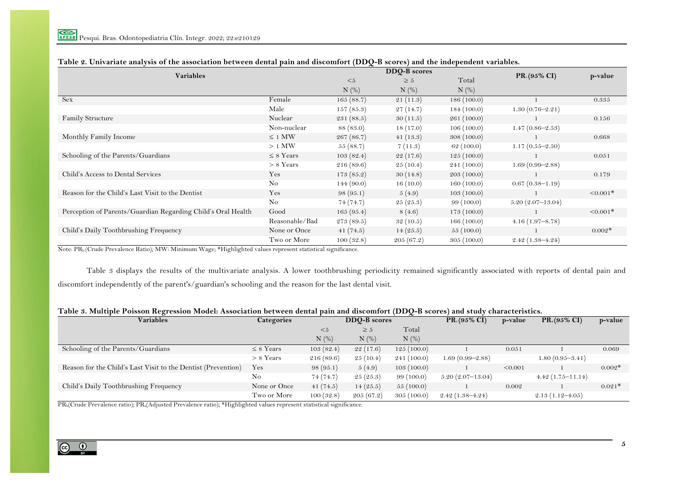|                                                              |                | $x^2$           | DDQ-B scores |             | p-value             |                           |
|--------------------------------------------------------------|----------------|-----------------|--------------|-------------|---------------------|---------------------------|
| <b>Variables</b>                                             |                | $5$<br>$\geq 5$ |              | Total       |                     | $PR_{c}(95\% \text{ CI})$ |
|                                                              |                | $N$ (%)         | $N$ (%)      | $N$ (%)     |                     |                           |
| <b>Sex</b>                                                   | Female         | 165(88.7)       | 21(11.3)     | 186(100.0)  |                     | 0.335                     |
|                                                              | Male           | 157(85.3)       | 27(14.7)     | 184(100.0)  | $1.30(0.76 - 2.21)$ |                           |
| <b>Family Structure</b>                                      | Nuclear        | 231(88.5)       | 30(11.5)     | 261(100.0)  |                     | 0.156                     |
|                                                              | Non-nuclear    | 88 (83.0)       | 18(17.0)     | 106(100.0)  | $1.47(0.86 - 2.53)$ |                           |
| Monthly Family Income                                        | $\leq$ 1 MW    | 267(86.7)       | 41(13.3)     | 308(100.0)  |                     | 0.668                     |
|                                                              | $>1$ MW        | 55(88.7)        | 7(11.3)      | 62(100.0)   | $1.17(0.55 - 2.50)$ |                           |
| Schooling of the Parents/Guardians                           | $\leq$ 8 Years | 103(82.4)       | 22(17.6)     | 125(100.0)  |                     | 0.051                     |
|                                                              | $> 8$ Years    | 216(89.6)       | 25(10.4)     | 241 (100.0) | $1.69(0.99 - 2.88)$ |                           |
| Child's Access to Dental Services                            | Yes            | 173(85.2)       | 30(14.8)     | 203(100.0)  |                     | 0.179                     |
|                                                              | No             | 144(90.0)       | 16(10.0)     | 160(100.0)  | $0.67(0.38-1.19)$   |                           |
| Reason for the Child's Last Visit to the Dentist             | Yes            | 98(95.1)        | 5(4.9)       | 103(100.0)  |                     | $< 0.001*$                |
|                                                              | $\rm No$       | 74(74.7)        | 25(25.3)     | 99(100.0)   | $5.20(2.07-13.04)$  |                           |
| Perception of Parents/Guardian Regarding Child's Oral Health | Good           | 165(95.4)       | 8(4.6)       | 173(100.0)  |                     | $< 0.001*$                |
|                                                              | Reasonable/Bad | 273(89.5)       | 32(10.5)     | 166(100.0)  | $4.16(1.97 - 8.78)$ |                           |
| Child's Daily Toothbrushing Frequency                        | None or Once   | 41(74.5)        | 14(25.5)     | 55(100.0)   |                     | $0.002*$                  |
|                                                              | Two or More    | 100(32.8)       | 205(67.2)    | 305(100.0)  | $2.42(1.38 - 4.24)$ |                           |

# **Table 2. Univariate analysis of the association between dental pain and discomfort (DDQ-B scores) and the independent variables.**

Note: PRb (Crude Prevalence Ratio); MW: Minimum Wage; \*Highlighted values represent statistical significance.

Table 3 displays the results of the multivariate analysis. A lower toothbrushing periodicity remained significantly associated with reports of dental pain and discomfort independently of the parent's/guardian's schooling and the reason for the last dental visit.

# **Table 3. Multiple Poisson Regression Model: Association between dental pain and discomfort (DDQ-B scores) and study characteristics.**

| <b>Variables</b>                                              | <b>Categories</b> |            | DDO-B scores | $\sim$     | $PR_e(95\% CI)$     | p-value | $PR_*(95\% \text{ CI})$ | p-value  |
|---------------------------------------------------------------|-------------------|------------|--------------|------------|---------------------|---------|-------------------------|----------|
|                                                               |                   | $\leq 5$   | $\geq 5$     | Total      |                     |         |                         |          |
|                                                               |                   | $N$ $(\%)$ | $N$ $(\%)$   | $N$ (%)    |                     |         |                         |          |
| Schooling of the Parents/Guardians                            | $\leq$ 8 Years    | 103(82.4)  | 22(17.6)     | 125(100.0) |                     | 0.051   |                         | 0.069    |
|                                                               | $> 8$ Years       | 216(89.6)  | 25(10.4)     | 241(100.0) | $1.69(0.99 - 2.88)$ |         | $1.80(0.95 - 3.41)$     |          |
| Reason for the Child's Last Visit to the Dentist (Prevention) | Yes               | 98(95.1)   | 5(4.9)       | 103(100.0) |                     | < 0.001 |                         | $0.002*$ |
|                                                               | No                | 74(74.7)   | 25(25.3)     | 99(100.0)  | $5.20(2.07-13.04)$  |         | $4.42(1.75-11.14)$      |          |
| Child's Daily Toothbrushing Frequency                         | None or Once      | 41(74.5)   | 14(25.5)     | 55(100.0)  |                     | 0.002   |                         | $0.021*$ |
|                                                               | Two or More       | 100(32.8)  | 205(67.2)    | 305(100.0) | $2.42(1.38 - 4.24)$ |         | $2.13(1.12 - 4.05)$     |          |

PRb(Crude Prevalence ratio); PRa(Adjusted Prevalence ratio); \*Highlighted values represent statistical significance.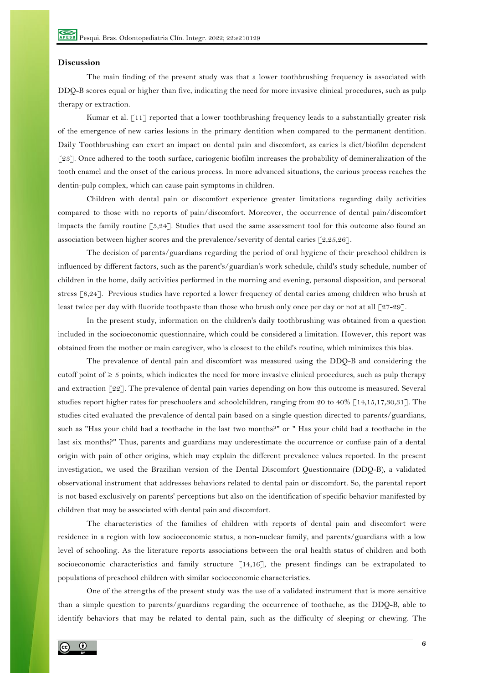## **Discussion**

The main finding of the present study was that a lower toothbrushing frequency is associated with DDQ-B scores equal or higher than five, indicating the need for more invasive clinical procedures, such as pulp therapy or extraction.

Kumar et al. [11] reported that a lower toothbrushing frequency leads to a substantially greater risk of the emergence of new caries lesions in the primary dentition when compared to the permanent dentition. Daily Toothbrushing can exert an impact on dental pain and discomfort, as caries is diet/biofilm dependent [23]. Once adhered to the tooth surface, cariogenic biofilm increases the probability of demineralization of the tooth enamel and the onset of the carious process. In more advanced situations, the carious process reaches the dentin-pulp complex, which can cause pain symptoms in children.

Children with dental pain or discomfort experience greater limitations regarding daily activities compared to those with no reports of pain/discomfort. Moreover, the occurrence of dental pain/discomfort impacts the family routine [5,24]. Studies that used the same assessment tool for this outcome also found an association between higher scores and the prevalence/severity of dental caries [2,25,26].

The decision of parents/guardians regarding the period of oral hygiene of their preschool children is influenced by different factors, such as the parent's/guardian's work schedule, child's study schedule, number of children in the home, daily activities performed in the morning and evening, personal disposition, and personal stress [8,24]. Previous studies have reported a lower frequency of dental caries among children who brush at least twice per day with fluoride toothpaste than those who brush only once per day or not at all [27-29].

In the present study, information on the children's daily toothbrushing was obtained from a question included in the socioeconomic questionnaire, which could be considered a limitation. However, this report was obtained from the mother or main caregiver, who is closest to the child's routine, which minimizes this bias.

The prevalence of dental pain and discomfort was measured using the DDQ-B and considering the cutoff point of  $\geq 5$  points, which indicates the need for more invasive clinical procedures, such as pulp therapy and extraction [22]. The prevalence of dental pain varies depending on how this outcome is measured. Several studies report higher rates for preschoolers and schoolchildren, ranging from 20 to 40% [14,15,17,30,31]. The studies cited evaluated the prevalence of dental pain based on a single question directed to parents/guardians, such as "Has your child had a toothache in the last two months?" or " Has your child had a toothache in the last six months?" Thus, parents and guardians may underestimate the occurrence or confuse pain of a dental origin with pain of other origins, which may explain the different prevalence values reported. In the present investigation, we used the Brazilian version of the Dental Discomfort Questionnaire (DDQ-B), a validated observational instrument that addresses behaviors related to dental pain or discomfort. So, the parental report is not based exclusively on parents' perceptions but also on the identification of specific behavior manifested by children that may be associated with dental pain and discomfort.

The characteristics of the families of children with reports of dental pain and discomfort were residence in a region with low socioeconomic status, a non-nuclear family, and parents/guardians with a low level of schooling. As the literature reports associations between the oral health status of children and both socioeconomic characteristics and family structure [14,16], the present findings can be extrapolated to populations of preschool children with similar socioeconomic characteristics.

One of the strengths of the present study was the use of a validated instrument that is more sensitive than a simple question to parents/guardians regarding the occurrence of toothache, as the DDQ-B, able to identify behaviors that may be related to dental pain, such as the difficulty of sleeping or chewing. The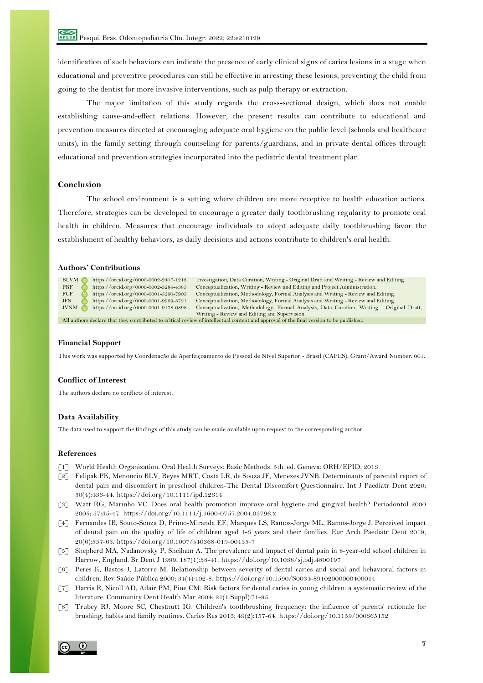identification of such behaviors can indicate the presence of early clinical signs of caries lesions in a stage when educational and preventive procedures can still be effective in arresting these lesions, preventing the child from going to the dentist for more invasive interventions, such as pulp therapy or extraction.

The major limitation of this study regards the cross-sectional design, which does not enable establishing cause-and-effect relations. However, the present results can contribute to educational and prevention measures directed at encouraging adequate oral hygiene on the public level (schools and healthcare units), in the family setting through counseling for parents/guardians, and in private dental offices through educational and prevention strategies incorporated into the pediatric dental treatment plan.

# **Conclusion**

The school environment is a setting where children are more receptive to health education actions. Therefore, strategies can be developed to encourage a greater daily toothbrushing regularity to promote oral health in children. Measures that encourage individuals to adopt adequate daily toothbrushing favor the establishment of healthy behaviors, as daily decisions and actions contribute to children's oral health.

## **Authors' Contributions**

| BLVM iD                                                                                                                                 | https://orcid.org/0000-0002-2417-1213 | Investigation, Data Curation, Writing - Original Draft and Writing - Review and Editing.  |  |  |
|-----------------------------------------------------------------------------------------------------------------------------------------|---------------------------------------|-------------------------------------------------------------------------------------------|--|--|
| <b>PKF</b>                                                                                                                              | https://orcid.org/0000-0002-3284-4385 | Conceptualization, Writing - Review and Editing and Project Administration.               |  |  |
| FCF                                                                                                                                     | https://orcid.org/0000-0001-5290-7905 | Conceptualization, Methodology, Formal Analysis and Writing - Review and Editing.         |  |  |
| JFS.                                                                                                                                    | https://orcid.org/0000-0001-9969-3721 | Conceptualization, Methodology, Formal Analysis and Writing - Review and Editing.         |  |  |
| <b>JVNM</b>                                                                                                                             | https://orcid.org/0000-0001-9178-0898 | Conceptualization, Methodology, Formal Analysis, Data Curation, Writing - Original Draft, |  |  |
|                                                                                                                                         |                                       | Writing - Review and Editing and Supervision.                                             |  |  |
| All authors declare that they contributed to critical review of intellectual content and approval of the final version to be published. |                                       |                                                                                           |  |  |

#### **Financial Support**

This work was supported by Coordenação de Aperfeiçoamento de Pessoal de Nível Superior - Brasil (CAPES), Grant/Award Number: 001.

## **Conflict of Interest**

The authors declare no conflicts of interest.

# **Data Availability**

The data used to support the findings of this study can be made available upon request to the corresponding author.

#### **References**

- [1] World Health Organization. Oral Health Surveys: Basic Methods. 5th. ed. Geneva: ORH/EPID; 2013.
- [2] Felipak PK, Menoncin BLV, Reyes MRT, Costa LR, de Souza JF, Menezes JVNB. Determinants of parental report of dental pain and discomfort in preschool children-The Dental Discomfort Questionnaire. Int J Paediatr Dent 2020; 30(4):436-44. https://doi.org/10.1111/ipd.12614
- [3] Watt RG, Marinho VC. Does oral health promotion improve oral hygiene and gingival health? Periodontol 2000 2005; 37:35-47. https://doi.org/10.1111/j.1600-0757.2004.03796.x
- [4] Fernandes IB, Souto-Souza D, Primo-Miranda EF, Marques LS, Ramos-Jorge ML, Ramos-Jorge J. Perceived impact of dental pain on the quality of life of children aged 1-3 years and their families. Eur Arch Paediatr Dent 2019; 20(6):557-63. https://doi.org/10.1007/s40368-019-00435-7
- [5] Shepherd MA, Nadanovsky P, Sheiham A. The prevalence and impact of dental pain in 8-year-old school children in Harrow, England. Br Dent J 1999; 187(1):38-41. https://doi.org/10.1038/sj.bdj.4800197
- [6] Peres K, Bastos J, Latorre M. Relationship between severity of dental caries and social and behavioral factors in children. Rev Saúde Pública 2000; 34(4):402-8. https://doi.org/10.1590/S0034-89102000000400014
- [7] Harris R, Nicoll AD, Adair PM, Pine CM. Risk factors for dental caries in young children: a systematic review of the literature. Community Dent Health Mar 2004; 21(1 Suppl):71-85.
- [8] Trubey RJ, Moore SC, Chestnutt IG. Children's toothbrushing frequency: the influence of parents' rationale for brushing, habits and family routines. Caries Res 2015; 49(2):157-64. https://doi.org/10.1159/000365152